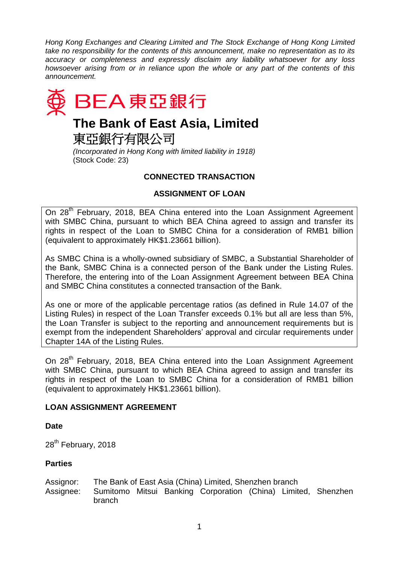*Hong Kong Exchanges and Clearing Limited and The Stock Exchange of Hong Kong Limited take no responsibility for the contents of this announcement, make no representation as to its accuracy or completeness and expressly disclaim any liability whatsoever for any loss howsoever arising from or in reliance upon the whole or any part of the contents of this announcement.*



*(Incorporated in Hong Kong with limited liability in 1918)* (Stock Code: 23)

## **CONNECTED TRANSACTION**

# **ASSIGNMENT OF LOAN**

On 28<sup>th</sup> February, 2018, BEA China entered into the Loan Assignment Agreement with SMBC China, pursuant to which BEA China agreed to assign and transfer its rights in respect of the Loan to SMBC China for a consideration of RMB1 billion (equivalent to approximately HK\$1.23661 billion).

As SMBC China is a wholly-owned subsidiary of SMBC, a Substantial Shareholder of the Bank, SMBC China is a connected person of the Bank under the Listing Rules. Therefore, the entering into of the Loan Assignment Agreement between BEA China and SMBC China constitutes a connected transaction of the Bank.

As one or more of the applicable percentage ratios (as defined in Rule 14.07 of the Listing Rules) in respect of the Loan Transfer exceeds 0.1% but all are less than 5%, the Loan Transfer is subject to the reporting and announcement requirements but is exempt from the independent Shareholders' approval and circular requirements under Chapter 14A of the Listing Rules.

On 28<sup>th</sup> February, 2018, BEA China entered into the Loan Assignment Agreement with SMBC China, pursuant to which BEA China agreed to assign and transfer its rights in respect of the Loan to SMBC China for a consideration of RMB1 billion (equivalent to approximately HK\$1.23661 billion).

## **LOAN ASSIGNMENT AGREEMENT**

**Date** 

28<sup>th</sup> February, 2018

## **Parties**

Assignor: The Bank of East Asia (China) Limited, Shenzhen branch Assignee: Sumitomo Mitsui Banking Corporation (China) Limited, Shenzhen branch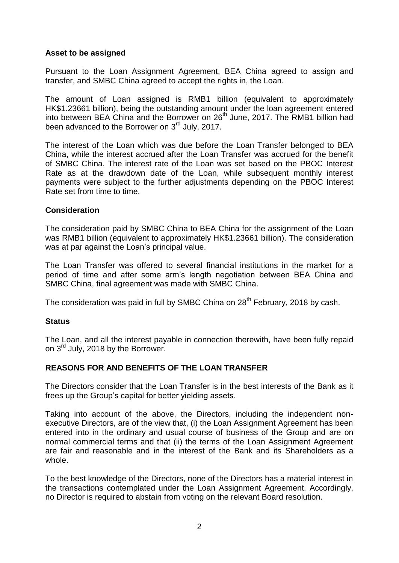#### **Asset to be assigned**

Pursuant to the Loan Assignment Agreement, BEA China agreed to assign and transfer, and SMBC China agreed to accept the rights in, the Loan.

The amount of Loan assigned is RMB1 billion (equivalent to approximately HK\$1.23661 billion), being the outstanding amount under the loan agreement entered into between BEA China and the Borrower on 26<sup>th</sup> June, 2017. The RMB1 billion had been advanced to the Borrower on 3<sup>rd</sup> July, 2017.

The interest of the Loan which was due before the Loan Transfer belonged to BEA China, while the interest accrued after the Loan Transfer was accrued for the benefit of SMBC China. The interest rate of the Loan was set based on the PBOC Interest Rate as at the drawdown date of the Loan, while subsequent monthly interest payments were subject to the further adjustments depending on the PBOC Interest Rate set from time to time.

### **Consideration**

The consideration paid by SMBC China to BEA China for the assignment of the Loan was RMB1 billion (equivalent to approximately HK\$1.23661 billion). The consideration was at par against the Loan's principal value.

The Loan Transfer was offered to several financial institutions in the market for a period of time and after some arm's length negotiation between BEA China and SMBC China, final agreement was made with SMBC China.

The consideration was paid in full by SMBC China on 28<sup>th</sup> February, 2018 by cash.

#### **Status**

The Loan, and all the interest payable in connection therewith, have been fully repaid on 3<sup>rd</sup> July, 2018 by the Borrower.

## **REASONS FOR AND BENEFITS OF THE LOAN TRANSFER**

The Directors consider that the Loan Transfer is in the best interests of the Bank as it frees up the Group's capital for better yielding assets.

Taking into account of the above, the Directors, including the independent nonexecutive Directors, are of the view that, (i) the Loan Assignment Agreement has been entered into in the ordinary and usual course of business of the Group and are on normal commercial terms and that (ii) the terms of the Loan Assignment Agreement are fair and reasonable and in the interest of the Bank and its Shareholders as a whole.

To the best knowledge of the Directors, none of the Directors has a material interest in the transactions contemplated under the Loan Assignment Agreement. Accordingly, no Director is required to abstain from voting on the relevant Board resolution.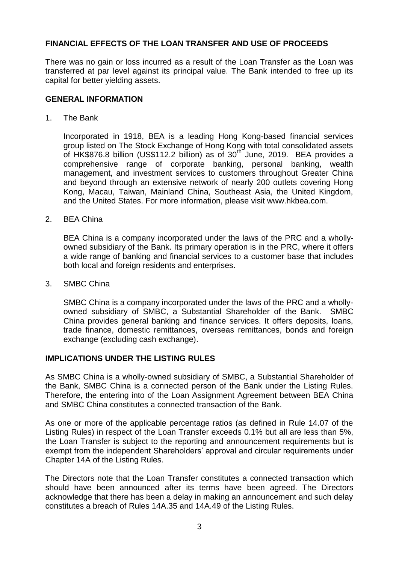### **FINANCIAL EFFECTS OF THE LOAN TRANSFER AND USE OF PROCEEDS**

There was no gain or loss incurred as a result of the Loan Transfer as the Loan was transferred at par level against its principal value. The Bank intended to free up its capital for better yielding assets.

#### **GENERAL INFORMATION**

1. The Bank

Incorporated in 1918, BEA is a leading Hong Kong-based financial services group listed on The Stock Exchange of Hong Kong with total consolidated assets of HK\$876.8 billion (US\$112.2 billion) as of 30<sup>th</sup> June, 2019. BEA provides a comprehensive range of corporate banking, personal banking, wealth management, and investment services to customers throughout Greater China and beyond through an extensive network of nearly 200 outlets covering Hong Kong, Macau, Taiwan, Mainland China, Southeast Asia, the United Kingdom, and the United States. For more information, please visit www.hkbea.com.

2. BEA China

BEA China is a company incorporated under the laws of the PRC and a whollyowned subsidiary of the Bank. Its primary operation is in the PRC, where it offers a wide range of banking and financial services to a customer base that includes both local and foreign residents and enterprises.

3. SMBC China

SMBC China is a company incorporated under the laws of the PRC and a whollyowned subsidiary of SMBC, a Substantial Shareholder of the Bank. SMBC China provides general banking and finance services. It offers deposits, loans, trade finance, domestic remittances, overseas remittances, bonds and foreign exchange (excluding cash exchange).

#### **IMPLICATIONS UNDER THE LISTING RULES**

As SMBC China is a wholly-owned subsidiary of SMBC, a Substantial Shareholder of the Bank, SMBC China is a connected person of the Bank under the Listing Rules. Therefore, the entering into of the Loan Assignment Agreement between BEA China and SMBC China constitutes a connected transaction of the Bank.

As one or more of the applicable percentage ratios (as defined in Rule 14.07 of the Listing Rules) in respect of the Loan Transfer exceeds 0.1% but all are less than 5%, the Loan Transfer is subject to the reporting and announcement requirements but is exempt from the independent Shareholders' approval and circular requirements under Chapter 14A of the Listing Rules.

The Directors note that the Loan Transfer constitutes a connected transaction which should have been announced after its terms have been agreed. The Directors acknowledge that there has been a delay in making an announcement and such delay constitutes a breach of Rules 14A.35 and 14A.49 of the Listing Rules.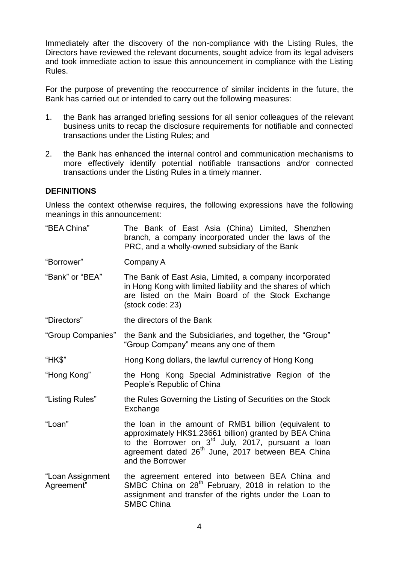Immediately after the discovery of the non-compliance with the Listing Rules, the Directors have reviewed the relevant documents, sought advice from its legal advisers and took immediate action to issue this announcement in compliance with the Listing Rules.

For the purpose of preventing the reoccurrence of similar incidents in the future, the Bank has carried out or intended to carry out the following measures:

- 1. the Bank has arranged briefing sessions for all senior colleagues of the relevant business units to recap the disclosure requirements for notifiable and connected transactions under the Listing Rules; and
- 2. the Bank has enhanced the internal control and communication mechanisms to more effectively identify potential notifiable transactions and/or connected transactions under the Listing Rules in a timely manner.

#### **DEFINITIONS**

Unless the context otherwise requires, the following expressions have the following meanings in this announcement:

"BEA China" The Bank of East Asia (China) Limited, Shenzhen branch, a company incorporated under the laws of the PRC, and a wholly-owned subsidiary of the Bank

"Borrower" Company A

- "Bank" or "BEA" The Bank of East Asia, Limited, a company incorporated in Hong Kong with limited liability and the shares of which are listed on the Main Board of the Stock Exchange (stock code: 23)
- "Directors" the directors of the Bank
- "Group Companies" the Bank and the Subsidiaries, and together, the "Group" "Group Company" means any one of them
- "HK\$" Hong Kong dollars, the lawful currency of Hong Kong
- "Hong Kong" the Hong Kong Special Administrative Region of the People's Republic of China
- "Listing Rules" the Rules Governing the Listing of Securities on the Stock Exchange
- "Loan" the loan in the amount of RMB1 billion (equivalent to approximately HK\$1.23661 billion) granted by BEA China to the Borrower on  $3<sup>rd</sup>$  July, 2017, pursuant a loan agreement dated 26<sup>th</sup> June, 2017 between BEA China and the Borrower
- "Loan Assignment Agreement" the agreement entered into between BEA China and SMBC China on  $28<sup>th</sup>$  February, 2018 in relation to the assignment and transfer of the rights under the Loan to SMBC China